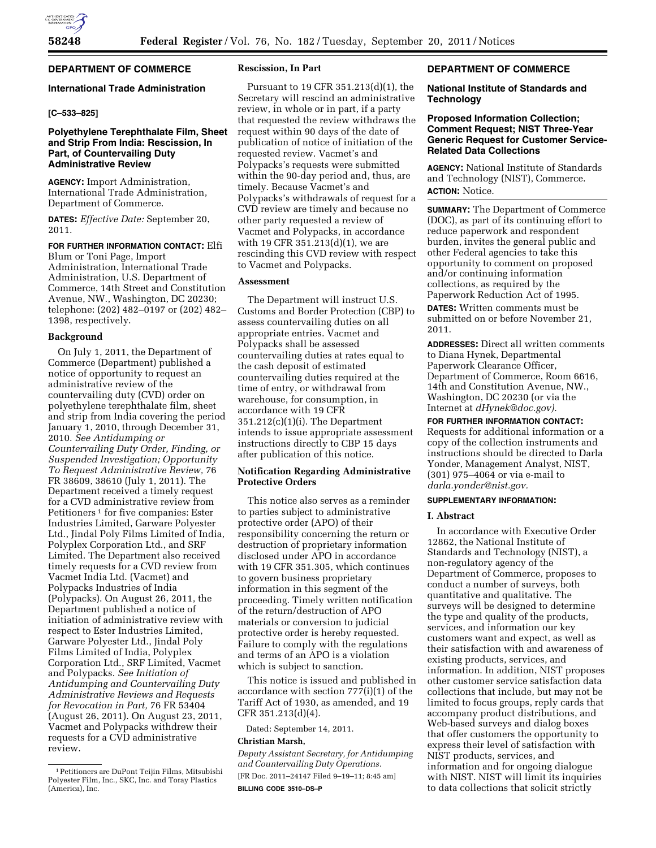# **DEPARTMENT OF COMMERCE**

# **International Trade Administration**

# **[C–533–825]**

# **Polyethylene Terephthalate Film, Sheet and Strip From India: Rescission, In Part, of Countervailing Duty Administrative Review**

**AGENCY:** Import Administration, International Trade Administration, Department of Commerce.

**DATES:** *Effective Date:* September 20, 2011.

**FOR FURTHER INFORMATION CONTACT:** Elfi Blum or Toni Page, Import

Administration, International Trade Administration, U.S. Department of Commerce, 14th Street and Constitution Avenue, NW., Washington, DC 20230; telephone: (202) 482–0197 or (202) 482– 1398, respectively.

### **Background**

On July 1, 2011, the Department of Commerce (Department) published a notice of opportunity to request an administrative review of the countervailing duty (CVD) order on polyethylene terephthalate film, sheet and strip from India covering the period January 1, 2010, through December 31, 2010. *See Antidumping or Countervailing Duty Order, Finding, or Suspended Investigation; Opportunity To Request Administrative Review,* 76 FR 38609, 38610 (July 1, 2011). The Department received a timely request for a CVD administrative review from Petitioners<sup>1</sup> for five companies: Ester Industries Limited, Garware Polyester Ltd., Jindal Poly Films Limited of India, Polyplex Corporation Ltd., and SRF Limited. The Department also received timely requests for a CVD review from Vacmet India Ltd. (Vacmet) and Polypacks Industries of India (Polypacks). On August 26, 2011, the Department published a notice of initiation of administrative review with respect to Ester Industries Limited, Garware Polyester Ltd., Jindal Poly Films Limited of India, Polyplex Corporation Ltd., SRF Limited, Vacmet and Polypacks. *See Initiation of Antidumping and Countervailing Duty Administrative Reviews and Requests for Revocation in Part,* 76 FR 53404 (August 26, 2011). On August 23, 2011, Vacmet and Polypacks withdrew their requests for a CVD administrative review.

## **Rescission, In Part**

Pursuant to 19 CFR 351.213(d)(1), the Secretary will rescind an administrative review, in whole or in part, if a party that requested the review withdraws the request within 90 days of the date of publication of notice of initiation of the requested review. Vacmet's and Polypacks's requests were submitted within the 90-day period and, thus, are timely. Because Vacmet's and Polypacks's withdrawals of request for a CVD review are timely and because no other party requested a review of Vacmet and Polypacks, in accordance with 19 CFR 351.213(d)(1), we are rescinding this CVD review with respect to Vacmet and Polypacks.

### **Assessment**

The Department will instruct U.S. Customs and Border Protection (CBP) to assess countervailing duties on all appropriate entries. Vacmet and Polypacks shall be assessed countervailing duties at rates equal to the cash deposit of estimated countervailing duties required at the time of entry, or withdrawal from warehouse, for consumption, in accordance with 19 CFR 351.212(c)(1)(i). The Department intends to issue appropriate assessment instructions directly to CBP 15 days after publication of this notice.

# **Notification Regarding Administrative Protective Orders**

This notice also serves as a reminder to parties subject to administrative protective order (APO) of their responsibility concerning the return or destruction of proprietary information disclosed under APO in accordance with 19 CFR 351.305, which continues to govern business proprietary information in this segment of the proceeding. Timely written notification of the return/destruction of APO materials or conversion to judicial protective order is hereby requested. Failure to comply with the regulations and terms of an APO is a violation which is subject to sanction.

This notice is issued and published in accordance with section 777(i)(1) of the Tariff Act of 1930, as amended, and 19 CFR 351.213(d)(4).

Dated: September 14, 2011.

### **Christian Marsh,**

*Deputy Assistant Secretary, for Antidumping and Countervailing Duty Operations.*  [FR Doc. 2011–24147 Filed 9–19–11; 8:45 am] **BILLING CODE 3510–DS–P** 

# **DEPARTMENT OF COMMERCE**

#### **National Institute of Standards and Technology**

# **Proposed Information Collection; Comment Request; NIST Three-Year Generic Request for Customer Service-Related Data Collections**

**AGENCY:** National Institute of Standards and Technology (NIST), Commerce. **ACTION:** Notice.

**SUMMARY:** The Department of Commerce (DOC), as part of its continuing effort to reduce paperwork and respondent burden, invites the general public and other Federal agencies to take this opportunity to comment on proposed and/or continuing information collections, as required by the Paperwork Reduction Act of 1995. **DATES:** Written comments must be submitted on or before November 21, 2011.

**ADDRESSES:** Direct all written comments to Diana Hynek, Departmental Paperwork Clearance Officer, Department of Commerce, Room 6616, 14th and Constitution Avenue, NW., Washington, DC 20230 (or via the Internet at *[dHynek@doc.gov\).](mailto:dHynek@doc.gov)* 

### **FOR FURTHER INFORMATION CONTACT:**

Requests for additional information or a copy of the collection instruments and instructions should be directed to Darla Yonder, Management Analyst, NIST, (301) 975–4064 or via e-mail to *[darla.yonder@nist.gov.](mailto:darla.yonder@nist.gov)* 

# **SUPPLEMENTARY INFORMATION:**

### **I. Abstract**

In accordance with Executive Order 12862, the National Institute of Standards and Technology (NIST), a non-regulatory agency of the Department of Commerce, proposes to conduct a number of surveys, both quantitative and qualitative. The surveys will be designed to determine the type and quality of the products, services, and information our key customers want and expect, as well as their satisfaction with and awareness of existing products, services, and information. In addition, NIST proposes other customer service satisfaction data collections that include, but may not be limited to focus groups, reply cards that accompany product distributions, and Web-based surveys and dialog boxes that offer customers the opportunity to express their level of satisfaction with NIST products, services, and information and for ongoing dialogue with NIST. NIST will limit its inquiries to data collections that solicit strictly

<sup>1</sup>Petitioners are DuPont Teijin Films, Mitsubishi Polyester Film, Inc., SKC, Inc. and Toray Plastics (America), Inc.